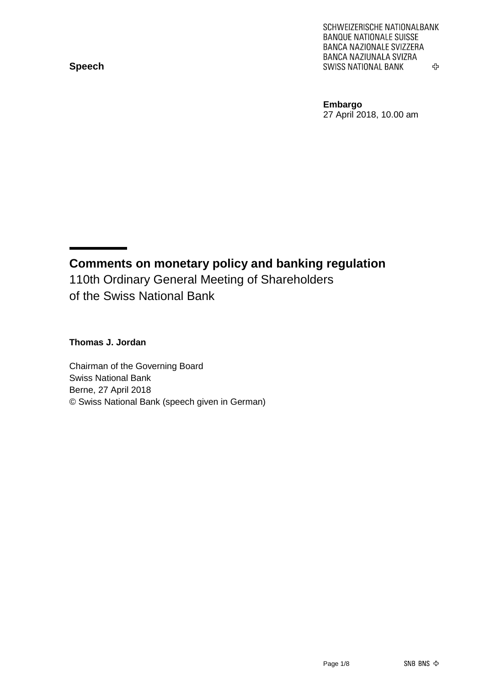**Speech**

SCHWEIZERISCHE NATIONALBANK **BANQUE NATIONALE SUISSE** BANCA NAZIONALE SVIZZERA BANCA NAZIUNALA SVIZRA **SWISS NATIONAL BANK** 亞

**Embargo** 27 April 2018, 10.00 am

**Comments on monetary policy and banking regulation** 110th Ordinary General Meeting of Shareholders of the Swiss National Bank

#### **Thomas J. Jordan**

Chairman of the Governing Board Swiss National Bank Berne, 27 April 2018 © Swiss National Bank (speech given in German)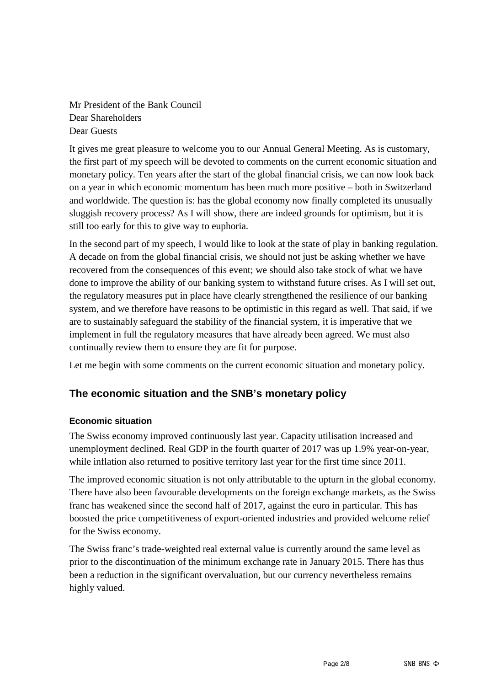Mr President of the Bank Council Dear Shareholders Dear Guests

It gives me great pleasure to welcome you to our Annual General Meeting. As is customary, the first part of my speech will be devoted to comments on the current economic situation and monetary policy. Ten years after the start of the global financial crisis, we can now look back on a year in which economic momentum has been much more positive – both in Switzerland and worldwide. The question is: has the global economy now finally completed its unusually sluggish recovery process? As I will show, there are indeed grounds for optimism, but it is still too early for this to give way to euphoria.

In the second part of my speech, I would like to look at the state of play in banking regulation. A decade on from the global financial crisis, we should not just be asking whether we have recovered from the consequences of this event; we should also take stock of what we have done to improve the ability of our banking system to withstand future crises. As I will set out, the regulatory measures put in place have clearly strengthened the resilience of our banking system, and we therefore have reasons to be optimistic in this regard as well. That said, if we are to sustainably safeguard the stability of the financial system, it is imperative that we implement in full the regulatory measures that have already been agreed. We must also continually review them to ensure they are fit for purpose.

Let me begin with some comments on the current economic situation and monetary policy.

## **The economic situation and the SNB's monetary policy**

### **Economic situation**

The Swiss economy improved continuously last year. Capacity utilisation increased and unemployment declined. Real GDP in the fourth quarter of 2017 was up 1.9% year-on-year, while inflation also returned to positive territory last year for the first time since 2011.

The improved economic situation is not only attributable to the upturn in the global economy. There have also been favourable developments on the foreign exchange markets, as the Swiss franc has weakened since the second half of 2017, against the euro in particular. This has boosted the price competitiveness of export-oriented industries and provided welcome relief for the Swiss economy.

The Swiss franc's trade-weighted real external value is currently around the same level as prior to the discontinuation of the minimum exchange rate in January 2015. There has thus been a reduction in the significant overvaluation, but our currency nevertheless remains highly valued.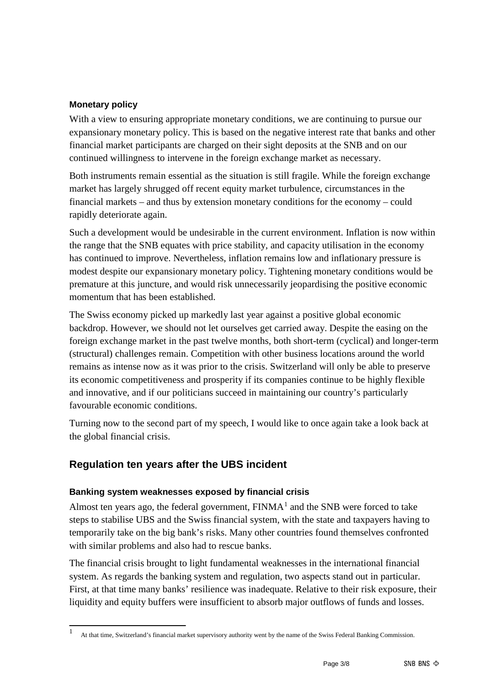### **Monetary policy**

With a view to ensuring appropriate monetary conditions, we are continuing to pursue our expansionary monetary policy. This is based on the negative interest rate that banks and other financial market participants are charged on their sight deposits at the SNB and on our continued willingness to intervene in the foreign exchange market as necessary.

Both instruments remain essential as the situation is still fragile. While the foreign exchange market has largely shrugged off recent equity market turbulence, circumstances in the financial markets – and thus by extension monetary conditions for the economy – could rapidly deteriorate again.

Such a development would be undesirable in the current environment. Inflation is now within the range that the SNB equates with price stability, and capacity utilisation in the economy has continued to improve. Nevertheless, inflation remains low and inflationary pressure is modest despite our expansionary monetary policy. Tightening monetary conditions would be premature at this juncture, and would risk unnecessarily jeopardising the positive economic momentum that has been established.

The Swiss economy picked up markedly last year against a positive global economic backdrop. However, we should not let ourselves get carried away. Despite the easing on the foreign exchange market in the past twelve months, both short-term (cyclical) and longer-term (structural) challenges remain. Competition with other business locations around the world remains as intense now as it was prior to the crisis. Switzerland will only be able to preserve its economic competitiveness and prosperity if its companies continue to be highly flexible and innovative, and if our politicians succeed in maintaining our country's particularly favourable economic conditions.

Turning now to the second part of my speech, I would like to once again take a look back at the global financial crisis.

## **Regulation ten years after the UBS incident**

### **Banking system weaknesses exposed by financial crisis**

Almost ten years ago, the federal government,  $FINMA<sup>1</sup>$  $FINMA<sup>1</sup>$  $FINMA<sup>1</sup>$  and the SNB were forced to take steps to stabilise UBS and the Swiss financial system, with the state and taxpayers having to temporarily take on the big bank's risks. Many other countries found themselves confronted with similar problems and also had to rescue banks.

The financial crisis brought to light fundamental weaknesses in the international financial system. As regards the banking system and regulation, two aspects stand out in particular. First, at that time many banks' resilience was inadequate. Relative to their risk exposure, their liquidity and equity buffers were insufficient to absorb major outflows of funds and losses.

<span id="page-2-0"></span><sup>1</sup> At that time, Switzerland's financial market supervisory authority went by the name of the Swiss Federal Banking Commission.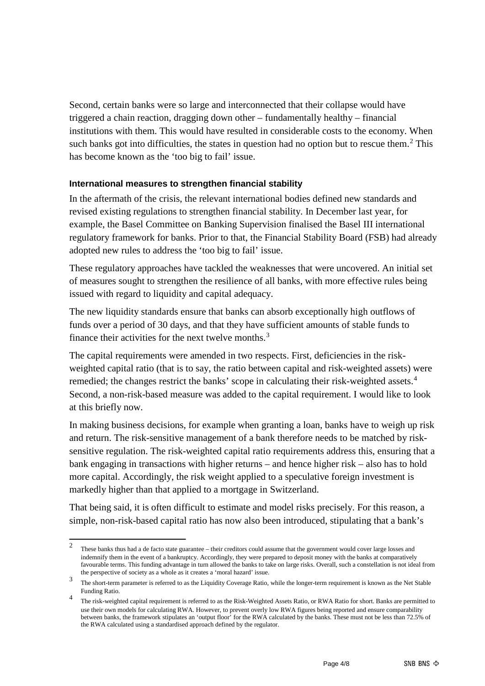Second, certain banks were so large and interconnected that their collapse would have triggered a chain reaction, dragging down other – fundamentally healthy – financial institutions with them. This would have resulted in considerable costs to the economy. When such banks got into difficulties, the states in question had no option but to rescue them.<sup>[2](#page-3-0)</sup> This has become known as the 'too big to fail' issue.

### **International measures to strengthen financial stability**

In the aftermath of the crisis, the relevant international bodies defined new standards and revised existing regulations to strengthen financial stability. In December last year, for example, the Basel Committee on Banking Supervision finalised the Basel III international regulatory framework for banks. Prior to that, the Financial Stability Board (FSB) had already adopted new rules to address the 'too big to fail' issue.

These regulatory approaches have tackled the weaknesses that were uncovered. An initial set of measures sought to strengthen the resilience of all banks, with more effective rules being issued with regard to liquidity and capital adequacy.

The new liquidity standards ensure that banks can absorb exceptionally high outflows of funds over a period of 30 days, and that they have sufficient amounts of stable funds to finance their activities for the next twelve months. $3$ 

The capital requirements were amended in two respects. First, deficiencies in the riskweighted capital ratio (that is to say, the ratio between capital and risk-weighted assets) were remedied; the changes restrict the banks' scope in calculating their risk-weighted assets.<sup>[4](#page-3-2)</sup> Second, a non-risk-based measure was added to the capital requirement. I would like to look at this briefly now.

In making business decisions, for example when granting a loan, banks have to weigh up risk and return. The risk-sensitive management of a bank therefore needs to be matched by risksensitive regulation. The risk-weighted capital ratio requirements address this, ensuring that a bank engaging in transactions with higher returns – and hence higher risk – also has to hold more capital. Accordingly, the risk weight applied to a speculative foreign investment is markedly higher than that applied to a mortgage in Switzerland.

That being said, it is often difficult to estimate and model risks precisely. For this reason, a simple, non-risk-based capital ratio has now also been introduced, stipulating that a bank's

<span id="page-3-0"></span><sup>&</sup>lt;sup>2</sup> These banks thus had a de facto state guarantee – their creditors could assume that the government would cover large losses and indemnify them in the event of a bankruptcy. Accordingly, they were prepared to deposit money with the banks at comparatively favourable terms. This funding advantage in turn allowed the banks to take on large risks. Overall, such a constellation is not ideal from the perspective of society as a whole as it creates a 'moral hazard' issue.

<span id="page-3-1"></span><sup>&</sup>lt;sup>3</sup> The short-term parameter is referred to as the Liquidity Coverage Ratio, while the longer-term requirement is known as the Net Stable Funding Ratio.

<span id="page-3-2"></span><sup>&</sup>lt;sup>4</sup> The risk-weighted capital requirement is referred to as the Risk-Weighted Assets Ratio, or RWA Ratio for short. Banks are permitted to use their own models for calculating RWA. However, to prevent overly low RWA figures being reported and ensure comparability between banks, the framework stipulates an 'output floor' for the RWA calculated by the banks. These must not be less than 72.5% of the RWA calculated using a standardised approach defined by the regulator.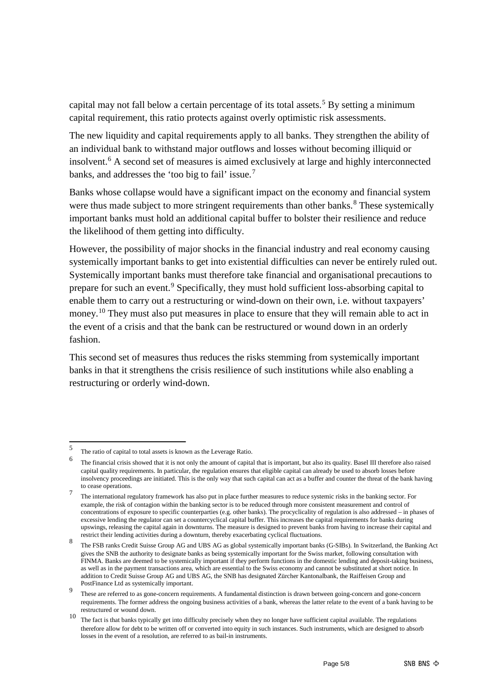capital may not fall below a certain percentage of its total assets.<sup>[5](#page-4-0)</sup> By setting a minimum capital requirement, this ratio protects against overly optimistic risk assessments.

The new liquidity and capital requirements apply to all banks. They strengthen the ability of an individual bank to withstand major outflows and losses without becoming illiquid or insolvent.[6](#page-4-1) A second set of measures is aimed exclusively at large and highly interconnected banks, and addresses the 'too big to fail' issue. [7](#page-4-2)

Banks whose collapse would have a significant impact on the economy and financial system were thus made subject to more stringent requirements than other banks.<sup>[8](#page-4-3)</sup> These systemically important banks must hold an additional capital buffer to bolster their resilience and reduce the likelihood of them getting into difficulty.

However, the possibility of major shocks in the financial industry and real economy causing systemically important banks to get into existential difficulties can never be entirely ruled out. Systemically important banks must therefore take financial and organisational precautions to prepare for such an event.[9](#page-4-4) Specifically, they must hold sufficient loss-absorbing capital to enable them to carry out a restructuring or wind-down on their own, i.e. without taxpayers' money.<sup>[10](#page-4-5)</sup> They must also put measures in place to ensure that they will remain able to act in the event of a crisis and that the bank can be restructured or wound down in an orderly fashion.

This second set of measures thus reduces the risks stemming from systemically important banks in that it strengthens the crisis resilience of such institutions while also enabling a restructuring or orderly wind-down.

<span id="page-4-0"></span><sup>5</sup> The ratio of capital to total assets is known as the Leverage Ratio.

<span id="page-4-1"></span><sup>6</sup> The financial crisis showed that it is not only the amount of capital that is important, but also its quality. Basel III therefore also raised capital quality requirements. In particular, the regulation ensures that eligible capital can already be used to absorb losses before insolvency proceedings are initiated. This is the only way that such capital can act as a buffer and counter the threat of the bank having to cease operations.

<span id="page-4-2"></span><sup>&</sup>lt;sup>7</sup> The international regulatory framework has also put in place further measures to reduce systemic risks in the banking sector. For example, the risk of contagion within the banking sector is to be reduced through more consistent measurement and control of concentrations of exposure to specific counterparties (e.g. other banks). The procyclicality of regulation is also addressed – in phases of excessive lending the regulator can set a countercyclical capital buffer. This increases the capital requirements for banks during upswings, releasing the capital again in downturns. The measure is designed to prevent banks from having to increase their capital and restrict their lending activities during a downturn, thereby exacerbating cyclical fluctuations.

<span id="page-4-3"></span><sup>8</sup> The FSB ranks Credit Suisse Group AG and UBS AG as global systemically important banks (G-SIBs). In Switzerland, the Banking Act gives the SNB the authority to designate banks as being systemically important for the Swiss market, following consultation with FINMA. Banks are deemed to be systemically important if they perform functions in the domestic lending and deposit-taking business, as well as in the payment transactions area, which are essential to the Swiss economy and cannot be substituted at short notice. In addition to Credit Suisse Group AG and UBS AG, the SNB has designated Zürcher Kantonalbank, the Raiffeisen Group and PostFinance Ltd as systemically important.

<span id="page-4-4"></span>These are referred to as gone-concern requirements. A fundamental distinction is drawn between going-concern and gone-concern requirements. The former address the ongoing business activities of a bank, whereas the latter relate to the event of a bank having to be restructured or wound down.

<span id="page-4-5"></span><sup>10</sup> The fact is that banks typically get into difficulty precisely when they no longer have sufficient capital available. The regulations therefore allow for debt to be written off or converted into equity in such instances. Such instruments, which are designed to absorb losses in the event of a resolution, are referred to as bail-in instruments.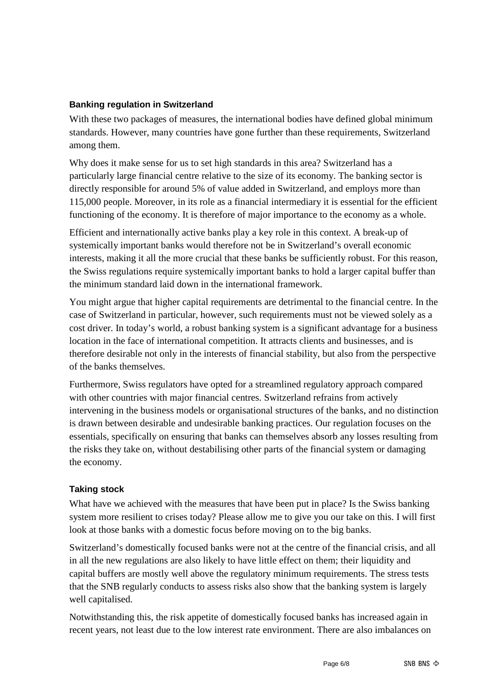### **Banking regulation in Switzerland**

With these two packages of measures, the international bodies have defined global minimum standards. However, many countries have gone further than these requirements, Switzerland among them.

Why does it make sense for us to set high standards in this area? Switzerland has a particularly large financial centre relative to the size of its economy. The banking sector is directly responsible for around 5% of value added in Switzerland, and employs more than 115,000 people. Moreover, in its role as a financial intermediary it is essential for the efficient functioning of the economy. It is therefore of major importance to the economy as a whole.

Efficient and internationally active banks play a key role in this context. A break-up of systemically important banks would therefore not be in Switzerland's overall economic interests, making it all the more crucial that these banks be sufficiently robust. For this reason, the Swiss regulations require systemically important banks to hold a larger capital buffer than the minimum standard laid down in the international framework.

You might argue that higher capital requirements are detrimental to the financial centre. In the case of Switzerland in particular, however, such requirements must not be viewed solely as a cost driver. In today's world, a robust banking system is a significant advantage for a business location in the face of international competition. It attracts clients and businesses, and is therefore desirable not only in the interests of financial stability, but also from the perspective of the banks themselves.

Furthermore, Swiss regulators have opted for a streamlined regulatory approach compared with other countries with major financial centres. Switzerland refrains from actively intervening in the business models or organisational structures of the banks, and no distinction is drawn between desirable and undesirable banking practices. Our regulation focuses on the essentials, specifically on ensuring that banks can themselves absorb any losses resulting from the risks they take on, without destabilising other parts of the financial system or damaging the economy.

### **Taking stock**

What have we achieved with the measures that have been put in place? Is the Swiss banking system more resilient to crises today? Please allow me to give you our take on this. I will first look at those banks with a domestic focus before moving on to the big banks.

Switzerland's domestically focused banks were not at the centre of the financial crisis, and all in all the new regulations are also likely to have little effect on them; their liquidity and capital buffers are mostly well above the regulatory minimum requirements. The stress tests that the SNB regularly conducts to assess risks also show that the banking system is largely well capitalised.

Notwithstanding this, the risk appetite of domestically focused banks has increased again in recent years, not least due to the low interest rate environment. There are also imbalances on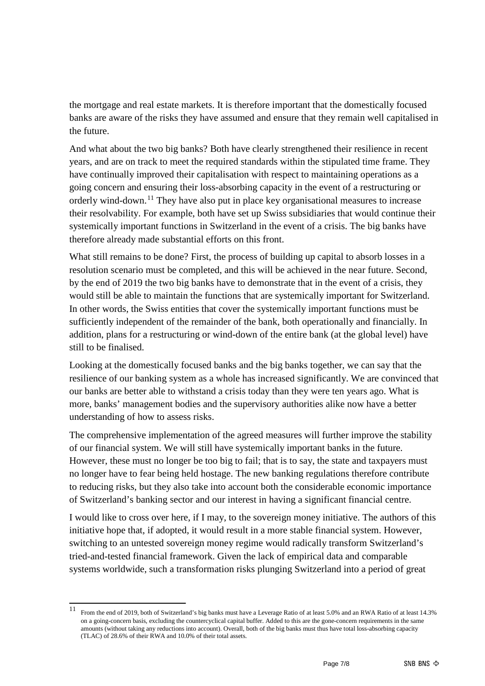the mortgage and real estate markets. It is therefore important that the domestically focused banks are aware of the risks they have assumed and ensure that they remain well capitalised in the future.

And what about the two big banks? Both have clearly strengthened their resilience in recent years, and are on track to meet the required standards within the stipulated time frame. They have continually improved their capitalisation with respect to maintaining operations as a going concern and ensuring their loss-absorbing capacity in the event of a restructuring or orderly wind-down.[11](#page-6-0) They have also put in place key organisational measures to increase their resolvability. For example, both have set up Swiss subsidiaries that would continue their systemically important functions in Switzerland in the event of a crisis. The big banks have therefore already made substantial efforts on this front.

What still remains to be done? First, the process of building up capital to absorb losses in a resolution scenario must be completed, and this will be achieved in the near future. Second, by the end of 2019 the two big banks have to demonstrate that in the event of a crisis, they would still be able to maintain the functions that are systemically important for Switzerland. In other words, the Swiss entities that cover the systemically important functions must be sufficiently independent of the remainder of the bank, both operationally and financially. In addition, plans for a restructuring or wind-down of the entire bank (at the global level) have still to be finalised.

Looking at the domestically focused banks and the big banks together, we can say that the resilience of our banking system as a whole has increased significantly. We are convinced that our banks are better able to withstand a crisis today than they were ten years ago. What is more, banks' management bodies and the supervisory authorities alike now have a better understanding of how to assess risks.

The comprehensive implementation of the agreed measures will further improve the stability of our financial system. We will still have systemically important banks in the future. However, these must no longer be too big to fail; that is to say, the state and taxpayers must no longer have to fear being held hostage. The new banking regulations therefore contribute to reducing risks, but they also take into account both the considerable economic importance of Switzerland's banking sector and our interest in having a significant financial centre.

I would like to cross over here, if I may, to the sovereign money initiative. The authors of this initiative hope that, if adopted, it would result in a more stable financial system. However, switching to an untested sovereign money regime would radically transform Switzerland's tried-and-tested financial framework. Given the lack of empirical data and comparable systems worldwide, such a transformation risks plunging Switzerland into a period of great

<span id="page-6-0"></span><sup>11</sup> From the end of 2019, both of Switzerland's big banks must have a Leverage Ratio of at least 5.0% and an RWA Ratio of at least 14.3% on a going-concern basis, excluding the countercyclical capital buffer. Added to this are the gone-concern requirements in the same amounts (without taking any reductions into account). Overall, both of the big banks must thus have total loss-absorbing capacity (TLAC) of 28.6% of their RWA and 10.0% of their total assets.